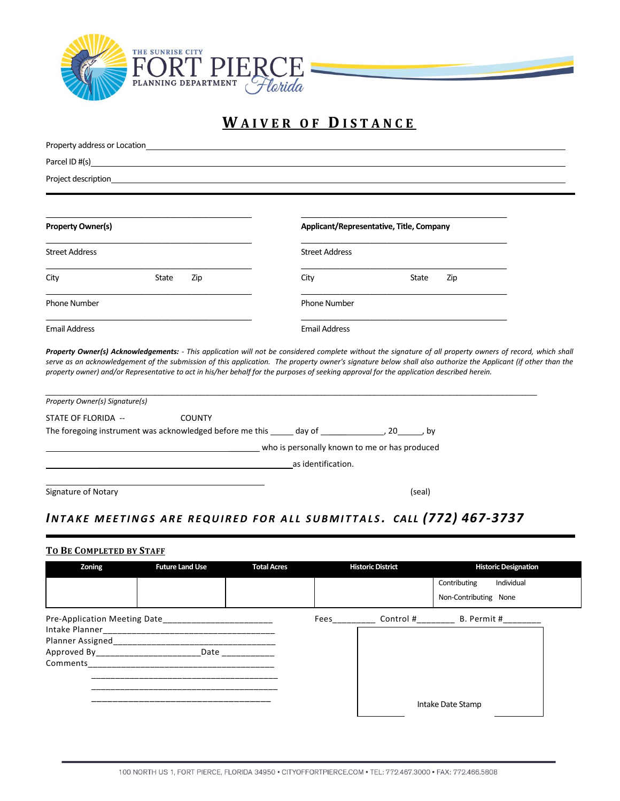

# **W A I V E R O F D I S T A N C E**

 $\overline{\phantom{0}}$ 

| Parcel ID $#(s)$<br>Project description_<br><b>Property Owner(s)</b><br><b>Street Address</b><br>State<br>City<br>Zip<br><b>Phone Number</b><br><b>Email Address</b>                                                                                                                                       | Applicant/Representative, Title, Company<br><b>Street Address</b><br>City<br><b>Phone Number</b> | State  | Zip                  |  |  |  |  |
|------------------------------------------------------------------------------------------------------------------------------------------------------------------------------------------------------------------------------------------------------------------------------------------------------------|--------------------------------------------------------------------------------------------------|--------|----------------------|--|--|--|--|
|                                                                                                                                                                                                                                                                                                            |                                                                                                  |        |                      |  |  |  |  |
|                                                                                                                                                                                                                                                                                                            |                                                                                                  |        |                      |  |  |  |  |
|                                                                                                                                                                                                                                                                                                            |                                                                                                  |        |                      |  |  |  |  |
|                                                                                                                                                                                                                                                                                                            |                                                                                                  |        |                      |  |  |  |  |
|                                                                                                                                                                                                                                                                                                            |                                                                                                  |        |                      |  |  |  |  |
|                                                                                                                                                                                                                                                                                                            |                                                                                                  |        |                      |  |  |  |  |
|                                                                                                                                                                                                                                                                                                            |                                                                                                  |        |                      |  |  |  |  |
|                                                                                                                                                                                                                                                                                                            |                                                                                                  |        | <b>Email Address</b> |  |  |  |  |
| serve as an acknowledgement of the submission of this application. The property owner's signature below shall also authorize the Applicant (if other than the<br>property owner) and/or Representative to act in his/her behalf for the purposes of seeking approval for the application described herein. |                                                                                                  |        |                      |  |  |  |  |
| Property Owner(s) Signature(s)                                                                                                                                                                                                                                                                             |                                                                                                  |        |                      |  |  |  |  |
| STATE OF FLORIDA --<br><b>COUNTY</b>                                                                                                                                                                                                                                                                       |                                                                                                  |        |                      |  |  |  |  |
| The foregoing instrument was acknowledged before me this ______ day of _____________________________, by                                                                                                                                                                                                   |                                                                                                  |        |                      |  |  |  |  |
| who is personally known to me or has produced                                                                                                                                                                                                                                                              |                                                                                                  |        |                      |  |  |  |  |
| as identification.                                                                                                                                                                                                                                                                                         |                                                                                                  |        |                      |  |  |  |  |
| Signature of Notary                                                                                                                                                                                                                                                                                        |                                                                                                  | (seal) |                      |  |  |  |  |
|                                                                                                                                                                                                                                                                                                            |                                                                                                  |        |                      |  |  |  |  |
| INTAKE MEETINGS ARE REQUIRED FOR ALL SUBMITTALS. CALL (772) 467-3737                                                                                                                                                                                                                                       |                                                                                                  |        |                      |  |  |  |  |

## **TO BE COMPLETED BY STAFF**

| Zoning                       | <b>Future Land Use</b> | <b>Total Acres</b> | <b>Historic District</b> |           | <b>Historic Designation</b> |  |
|------------------------------|------------------------|--------------------|--------------------------|-----------|-----------------------------|--|
|                              |                        |                    |                          |           | Individual<br>Contributing  |  |
|                              |                        |                    |                          |           | Non-Contributing None       |  |
| Pre-Application Meeting Date |                        |                    | Fees                     | Control # | B. Permit #                 |  |
|                              |                        |                    |                          |           |                             |  |
| Planner Assigned             |                        |                    |                          |           |                             |  |
| Approved By_________________ | Date                   |                    |                          |           |                             |  |
| Comments                     |                        |                    |                          |           |                             |  |
|                              |                        |                    |                          |           |                             |  |
|                              |                        |                    |                          |           |                             |  |
|                              |                        |                    |                          |           |                             |  |
|                              |                        |                    |                          |           | Intake Date Stamp           |  |
|                              |                        |                    |                          |           |                             |  |